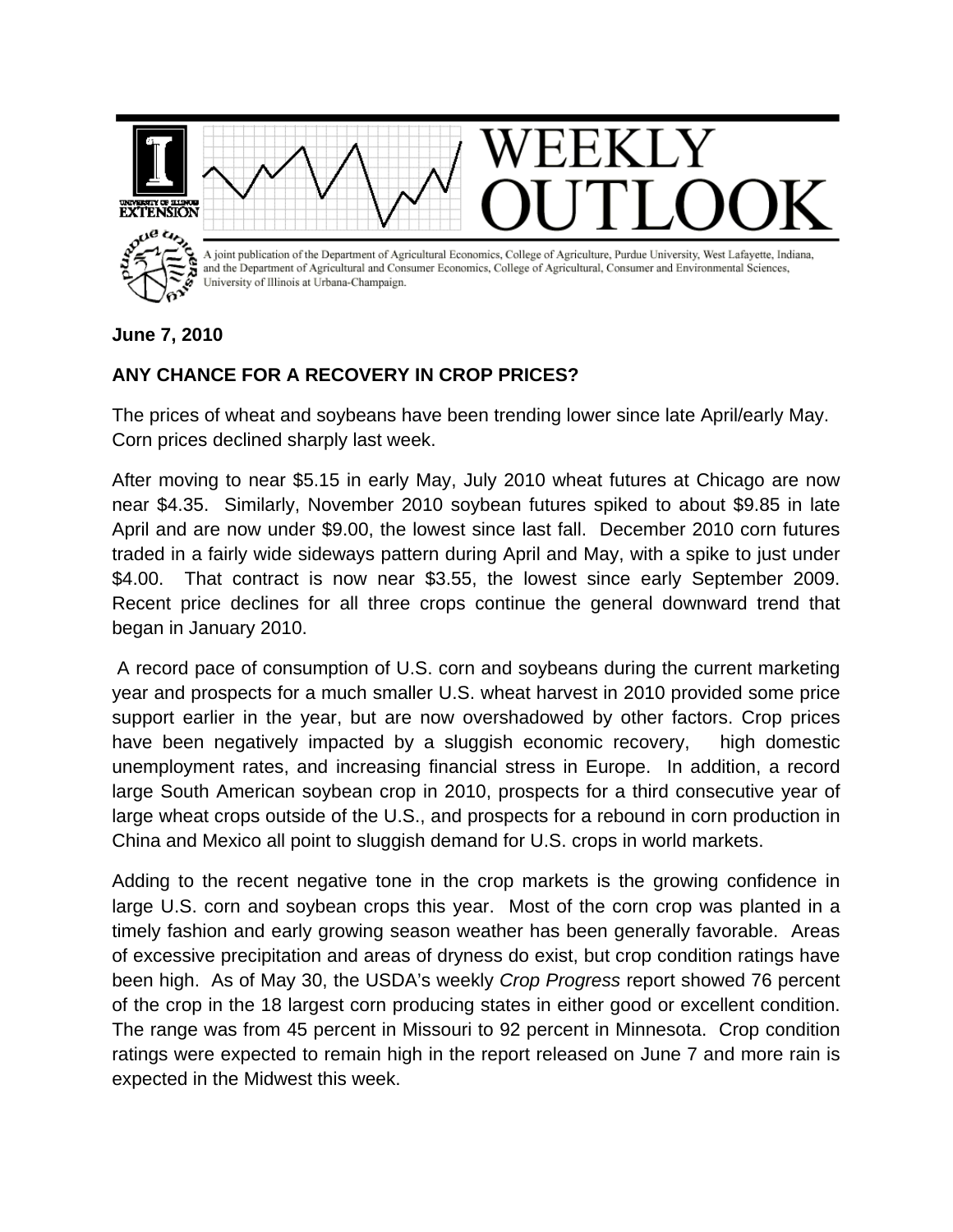

**June 7, 2010** 

## **ANY CHANCE FOR A RECOVERY IN CROP PRICES?**

The prices of wheat and soybeans have been trending lower since late April/early May. Corn prices declined sharply last week.

After moving to near \$5.15 in early May, July 2010 wheat futures at Chicago are now near \$4.35. Similarly, November 2010 soybean futures spiked to about \$9.85 in late April and are now under \$9.00, the lowest since last fall. December 2010 corn futures traded in a fairly wide sideways pattern during April and May, with a spike to just under \$4.00. That contract is now near \$3.55, the lowest since early September 2009. Recent price declines for all three crops continue the general downward trend that began in January 2010.

 A record pace of consumption of U.S. corn and soybeans during the current marketing year and prospects for a much smaller U.S. wheat harvest in 2010 provided some price support earlier in the year, but are now overshadowed by other factors. Crop prices have been negatively impacted by a sluggish economic recovery, high domestic unemployment rates, and increasing financial stress in Europe. In addition, a record large South American soybean crop in 2010, prospects for a third consecutive year of large wheat crops outside of the U.S., and prospects for a rebound in corn production in China and Mexico all point to sluggish demand for U.S. crops in world markets.

Adding to the recent negative tone in the crop markets is the growing confidence in large U.S. corn and soybean crops this year. Most of the corn crop was planted in a timely fashion and early growing season weather has been generally favorable. Areas of excessive precipitation and areas of dryness do exist, but crop condition ratings have been high. As of May 30, the USDA's weekly *Crop Progress* report showed 76 percent of the crop in the 18 largest corn producing states in either good or excellent condition. The range was from 45 percent in Missouri to 92 percent in Minnesota. Crop condition ratings were expected to remain high in the report released on June 7 and more rain is expected in the Midwest this week.